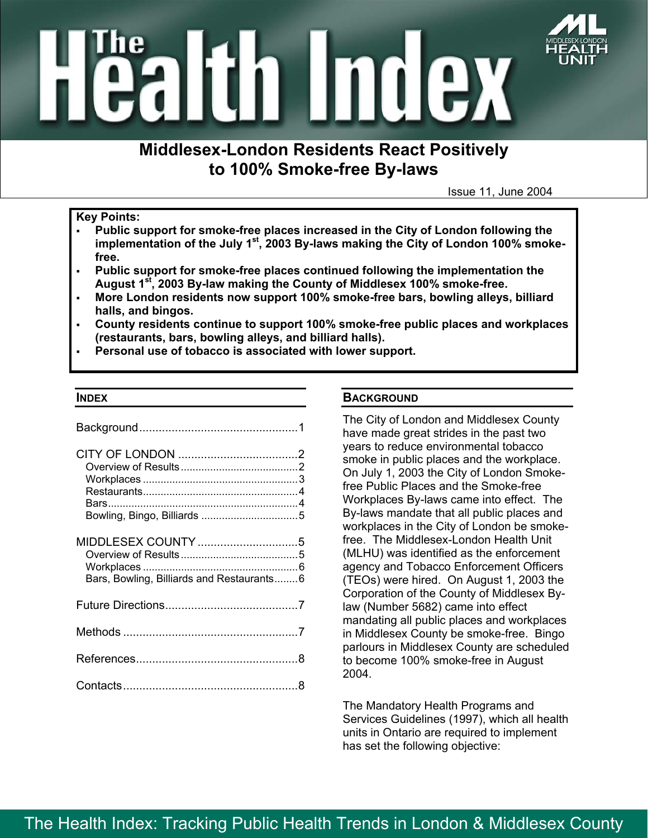

# **Middlesex-London Residents React Positively to 100% Smoke-free By-laws**

Issue 11, June 2004

#### **Key Points:**

- **Public support for smoke-free places increased in the City of London following the implementation of the July 1st, 2003 By-laws making the City of London 100% smokefree.**
- **Public support for smoke-free places continued following the implementation the August 1st, 2003 By-law making the County of Middlesex 100% smoke-free.**
- **More London residents now support 100% smoke-free bars, bowling alleys, billiard halls, and bingos.**
- **County residents continue to support 100% smoke-free public places and workplaces (restaurants, bars, bowling alleys, and billiard halls).**
- **Personal use of tobacco is associated with lower support.**

#### **INDEX**

| Bars, Bowling, Billiards and Restaurants6 |  |
|-------------------------------------------|--|
|                                           |  |
|                                           |  |
|                                           |  |
|                                           |  |

## **BACKGROUND**

The City of London and Middlesex County have made great strides in the past two years to reduce environmental tobacco smoke in public places and the workplace. On July 1, 2003 the City of London Smokefree Public Places and the Smoke-free Workplaces By-laws came into effect. The By-laws mandate that all public places and workplaces in the City of London be smokefree. The Middlesex-London Health Unit (MLHU) was identified as the enforcement agency and Tobacco Enforcement Officers (TEOs) were hired. On August 1, 2003 the Corporation of the County of Middlesex Bylaw (Number 5682) came into effect mandating all public places and workplaces in Middlesex County be smoke-free. Bingo parlours in Middlesex County are scheduled to become 100% smoke-free in August 2004.

The Mandatory Health Programs and Services Guidelines (1997), which all health units in Ontario are required to implement has set the following objective: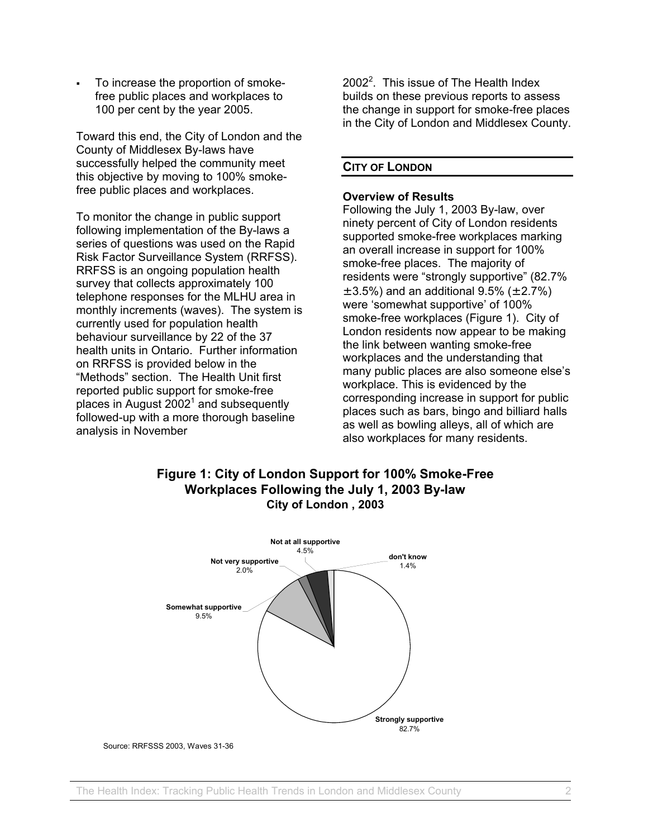To increase the proportion of smokefree public places and workplaces to 100 per cent by the year 2005.

Toward this end, the City of London and the County of Middlesex By-laws have successfully helped the community meet this objective by moving to 100% smokefree public places and workplaces.

To monitor the change in public support following implementation of the By-laws a series of questions was used on the Rapid Risk Factor Surveillance System (RRFSS). RRFSS is an ongoing population health survey that collects approximately 100 telephone responses for the MLHU area in monthly increments (waves). The system is currently used for population health behaviour surveillance by 22 of the 37 health units in Ontario. Further information on RRFSS is provided below in the "Methods" section. The Health Unit first reported public support for smoke-free places in August 2002<sup>[1](#page-7-0)</sup> and subsequently followed-up with a more thorough baseline analysis in November

 $2002<sup>2</sup>$  $2002<sup>2</sup>$ . This issue of The Health Index builds on these previous reports to assess the change in support for smoke-free places in the City of London and Middlesex County.

## **CITY OF LONDON**

#### **Overview of Results**

Following the July 1, 2003 By-law, over ninety percent of City of London residents supported smoke-free workplaces marking an overall increase in support for 100% smoke-free places. The majority of residents were "strongly supportive" (82.7%  $\pm$  3.5%) and an additional 9.5% ( $\pm$  2.7%) were 'somewhat supportive' of 100% smoke-free workplaces (Figure 1). City of London residents now appear to be making the link between wanting smoke-free workplaces and the understanding that many public places are also someone else's workplace. This is evidenced by the corresponding increase in support for public places such as bars, bingo and billiard halls as well as bowling alleys, all of which are also workplaces for many residents.

# **Figure 1: City of London Support for 100% Smoke-Free Workplaces Following the July 1, 2003 By-law City of London , 2003**



Source: RRFSSS 2003, Waves 31-36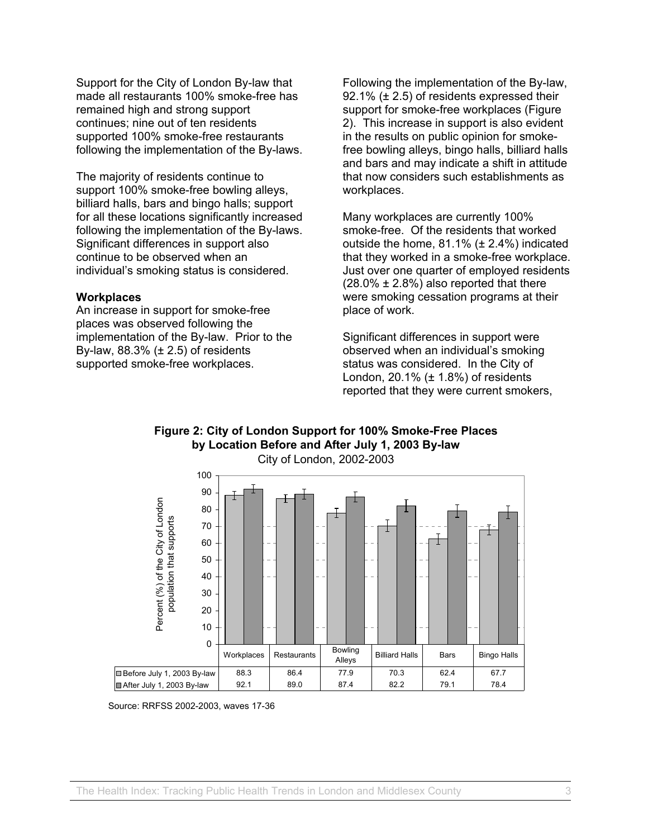Support for the City of London By-law that made all restaurants 100% smoke-free has remained high and strong support continues; nine out of ten residents supported 100% smoke-free restaurants following the implementation of the By-laws.

The majority of residents continue to support 100% smoke-free bowling alleys, billiard halls, bars and bingo halls; support for all these locations significantly increased following the implementation of the By-laws. Significant differences in support also continue to be observed when an individual's smoking status is considered.

#### **Workplaces**

An increase in support for smoke-free places was observed following the implementation of the By-law. Prior to the By-law,  $88.3\%$  ( $\pm 2.5$ ) of residents supported smoke-free workplaces.

Following the implementation of the By-law, 92.1% (± 2.5) of residents expressed their support for smoke-free workplaces (Figure 2). This increase in support is also evident in the results on public opinion for smokefree bowling alleys, bingo halls, billiard halls and bars and may indicate a shift in attitude that now considers such establishments as workplaces.

Many workplaces are currently 100% smoke-free. Of the residents that worked outside the home, 81.1% (± 2.4%) indicated that they worked in a smoke-free workplace. Just over one quarter of employed residents  $(28.0\% \pm 2.8\%)$  also reported that there were smoking cessation programs at their place of work.

Significant differences in support were observed when an individual's smoking status was considered. In the City of London,  $20.1\%$  ( $\pm$  1.8%) of residents reported that they were current smokers,





Source: RRFSS 2002-2003, waves 17-36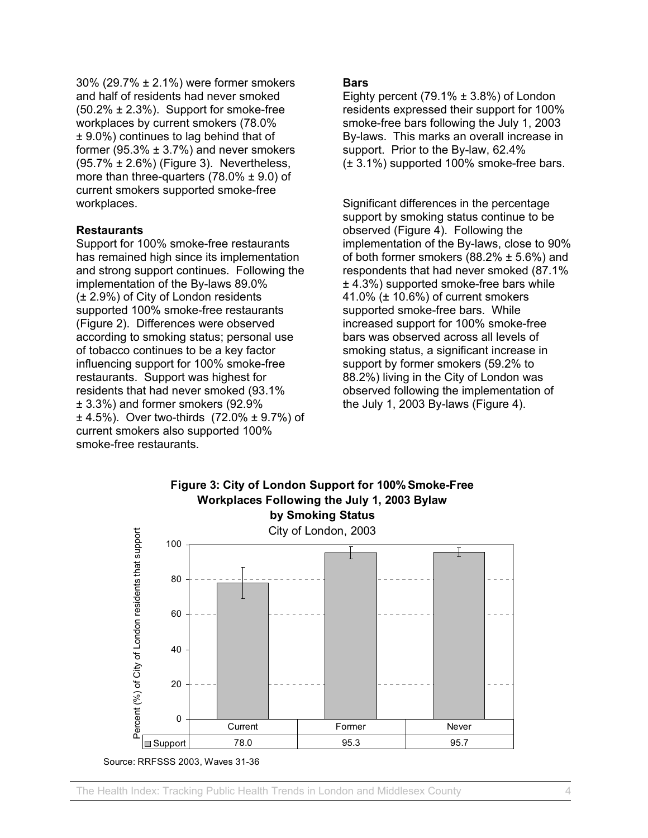30% (29.7% ± 2.1%) were former smokers and half of residents had never smoked  $(50.2\% \pm 2.3\%)$ . Support for smoke-free workplaces by current smokers (78.0% ± 9.0%) continues to lag behind that of former (95.3%  $\pm$  3.7%) and never smokers (95.7% ± 2.6%) (Figure 3). Nevertheless, more than three-quarters  $(78.0\% \pm 9.0)$  of current smokers supported smoke-free workplaces.

## **Restaurants**

Support for 100% smoke-free restaurants has remained high since its implementation and strong support continues. Following the implementation of the By-laws 89.0% (± 2.9%) of City of London residents supported 100% smoke-free restaurants (Figure 2). Differences were observed according to smoking status; personal use of tobacco continues to be a key factor influencing support for 100% smoke-free restaurants. Support was highest for residents that had never smoked (93.1% ± 3.3%) and former smokers (92.9%  $\pm$  4.5%). Over two-thirds (72.0%  $\pm$  9.7%) of current smokers also supported 100% smoke-free restaurants.

## **Bars**

Eighty percent  $(79.1\% \pm 3.8\%)$  of London residents expressed their support for 100% smoke-free bars following the July 1, 2003 By-laws. This marks an overall increase in support. Prior to the By-law, 62.4% (± 3.1%) supported 100% smoke-free bars.

Significant differences in the percentage support by smoking status continue to be observed (Figure 4). Following the implementation of the By-laws, close to 90% of both former smokers  $(88.2\% \pm 5.6\%)$  and respondents that had never smoked (87.1% ± 4.3%) supported smoke-free bars while 41.0% (± 10.6%) of current smokers supported smoke-free bars. While increased support for 100% smoke-free bars was observed across all levels of smoking status, a significant increase in support by former smokers (59.2% to 88.2%) living in the City of London was observed following the implementation of the July 1, 2003 By-laws (Figure 4).



Source: RRFSSS 2003, Waves 31-36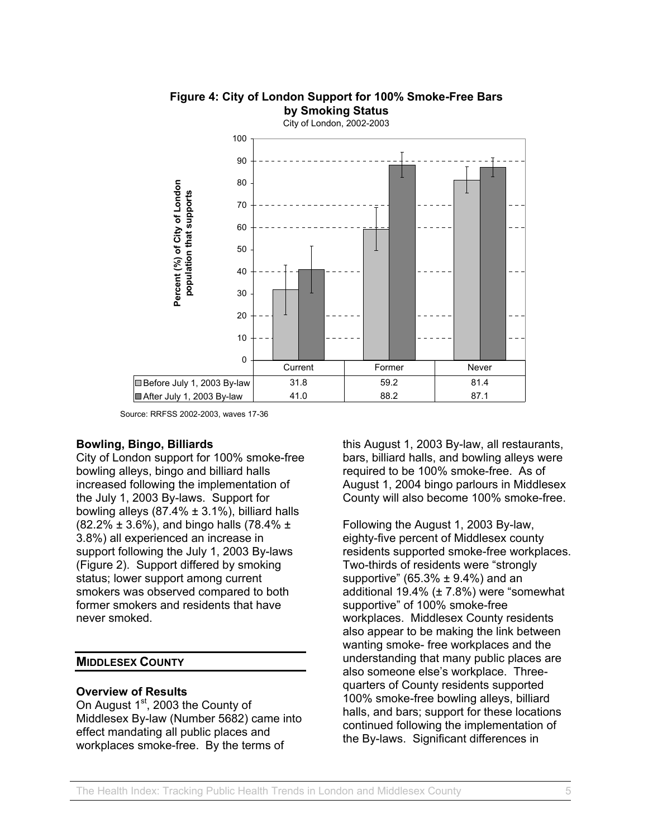

# **Figure 4: City of London Support for 100% Smoke-Free Bars by Smoking Status**

Source: RRFSS 2002-2003, waves 17-36

## **Bowling, Bingo, Billiards**

City of London support for 100% smoke-free bowling alleys, bingo and billiard halls increased following the implementation of the July 1, 2003 By-laws. Support for bowling alleys  $(87.4\% \pm 3.1\%)$ , billiard halls  $(82.2\% \pm 3.6\%)$ , and bingo halls (78.4%  $\pm$ 3.8%) all experienced an increase in support following the July 1, 2003 By-laws (Figure 2). Support differed by smoking status; lower support among current smokers was observed compared to both former smokers and residents that have never smoked.

#### **MIDDLESEX COUNTY**

## **Overview of Results**

On August  $1<sup>st</sup>$ , 2003 the County of Middlesex By-law (Number 5682) came into effect mandating all public places and workplaces smoke-free. By the terms of

this August 1, 2003 By-law, all restaurants, bars, billiard halls, and bowling alleys were required to be 100% smoke-free. As of August 1, 2004 bingo parlours in Middlesex County will also become 100% smoke-free.

Following the August 1, 2003 By-law, eighty-five percent of Middlesex county residents supported smoke-free workplaces. Two-thirds of residents were "strongly supportive" (65.3%  $\pm$  9.4%) and an additional 19.4% (± 7.8%) were "somewhat supportive" of 100% smoke-free workplaces. Middlesex County residents also appear to be making the link between wanting smoke- free workplaces and the understanding that many public places are also someone else's workplace. Threequarters of County residents supported 100% smoke-free bowling alleys, billiard halls, and bars; support for these locations continued following the implementation of the By-laws. Significant differences in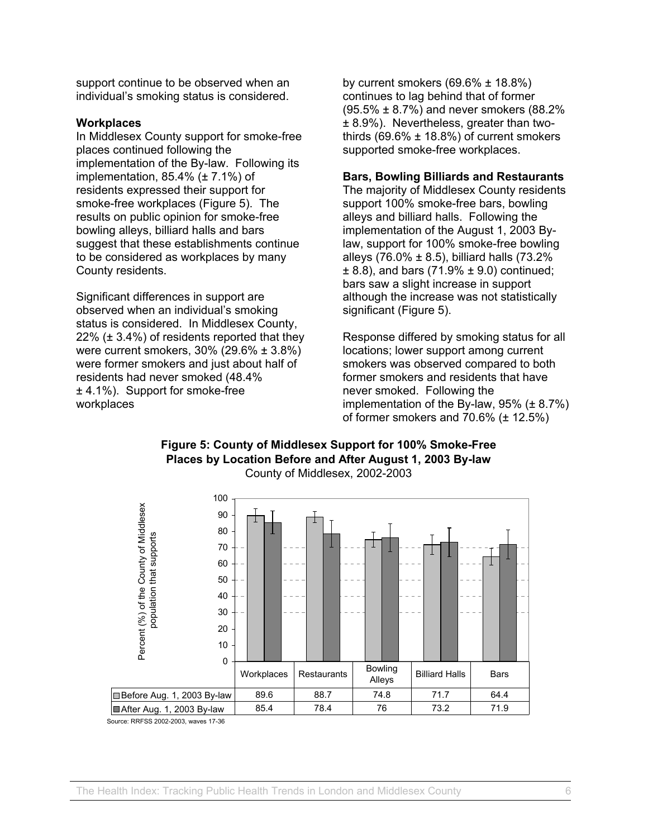support continue to be observed when an individual's smoking status is considered.

#### **Workplaces**

In Middlesex County support for smoke-free places continued following the implementation of the By-law. Following its implementation,  $85.4\%$  ( $\pm$  7.1%) of residents expressed their support for smoke-free workplaces (Figure 5). The results on public opinion for smoke-free bowling alleys, billiard halls and bars suggest that these establishments continue to be considered as workplaces by many County residents.

Significant differences in support are observed when an individual's smoking status is considered. In Middlesex County, 22%  $(\pm 3.4\%)$  of residents reported that they were current smokers, 30% (29.6% ± 3.8%) were former smokers and just about half of residents had never smoked (48.4% ± 4.1%). Support for smoke-free workplaces

by current smokers  $(69.6\% \pm 18.8\%)$ continues to lag behind that of former (95.5% ± 8.7%) and never smokers (88.2% ± 8.9%). Nevertheless, greater than twothirds  $(69.6\% \pm 18.8\%)$  of current smokers supported smoke-free workplaces.

## **Bars, Bowling Billiards and Restaurants**

The majority of Middlesex County residents support 100% smoke-free bars, bowling alleys and billiard halls. Following the implementation of the August 1, 2003 Bylaw, support for 100% smoke-free bowling alleys (76.0%  $\pm$  8.5), billiard halls (73.2%)  $\pm$  8.8), and bars (71.9%  $\pm$  9.0) continued; bars saw a slight increase in support although the increase was not statistically significant (Figure 5).

Response differed by smoking status for all locations; lower support among current smokers was observed compared to both former smokers and residents that have never smoked. Following the implementation of the By-law,  $95\%$  ( $\pm 8.7\%$ ) of former smokers and  $70.6\%$  ( $\pm$  12.5%)



#### **Figure 5: County of Middlesex Support for 100% Smoke-Free Places by Location Before and After August 1, 2003 By-law**  County of Middlesex, 2002-2003

Source: RRFSS 2002-2003, waves 17-36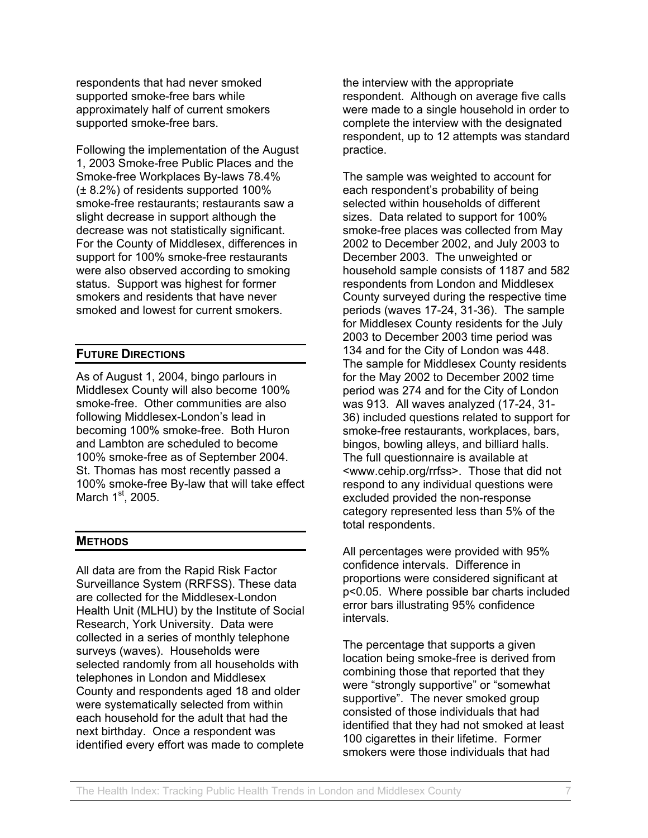respondents that had never smoked supported smoke-free bars while approximately half of current smokers supported smoke-free bars.

Following the implementation of the August 1, 2003 Smoke-free Public Places and the Smoke-free Workplaces By-laws 78.4% (± 8.2%) of residents supported 100% smoke-free restaurants; restaurants saw a slight decrease in support although the decrease was not statistically significant. For the County of Middlesex, differences in support for 100% smoke-free restaurants were also observed according to smoking status. Support was highest for former smokers and residents that have never smoked and lowest for current smokers.

## **FUTURE DIRECTIONS**

As of August 1, 2004, bingo parlours in Middlesex County will also become 100% smoke-free. Other communities are also following Middlesex-London's lead in becoming 100% smoke-free. Both Huron and Lambton are scheduled to become 100% smoke-free as of September 2004. St. Thomas has most recently passed a 100% smoke-free By-law that will take effect March  $1<sup>st</sup>$ , 2005.

## **METHODS**

All data are from the Rapid Risk Factor Surveillance System (RRFSS). These data are collected for the Middlesex-London Health Unit (MLHU) by the Institute of Social Research, York University. Data were collected in a series of monthly telephone surveys (waves). Households were selected randomly from all households with telephones in London and Middlesex County and respondents aged 18 and older were systematically selected from within each household for the adult that had the next birthday. Once a respondent was identified every effort was made to complete

the interview with the appropriate respondent. Although on average five calls were made to a single household in order to complete the interview with the designated respondent, up to 12 attempts was standard practice.

The sample was weighted to account for each respondent's probability of being selected within households of different sizes. Data related to support for 100% smoke-free places was collected from May 2002 to December 2002, and July 2003 to December 2003. The unweighted or household sample consists of 1187 and 582 respondents from London and Middlesex County surveyed during the respective time periods (waves 17-24, 31-36). The sample for Middlesex County residents for the July 2003 to December 2003 time period was 134 and for the City of London was 448. The sample for Middlesex County residents for the May 2002 to December 2002 time period was 274 and for the City of London was 913. All waves analyzed (17-24, 31- 36) included questions related to support for smoke-free restaurants, workplaces, bars, bingos, bowling alleys, and billiard halls. The full questionnaire is available at <www.cehip.org/rrfss>. Those that did not respond to any individual questions were excluded provided the non-response category represented less than 5% of the total respondents.

All percentages were provided with 95% confidence intervals. Difference in proportions were considered significant at p<0.05. Where possible bar charts included error bars illustrating 95% confidence intervals.

The percentage that supports a given location being smoke-free is derived from combining those that reported that they were "strongly supportive" or "somewhat supportive". The never smoked group consisted of those individuals that had identified that they had not smoked at least 100 cigarettes in their lifetime. Former smokers were those individuals that had